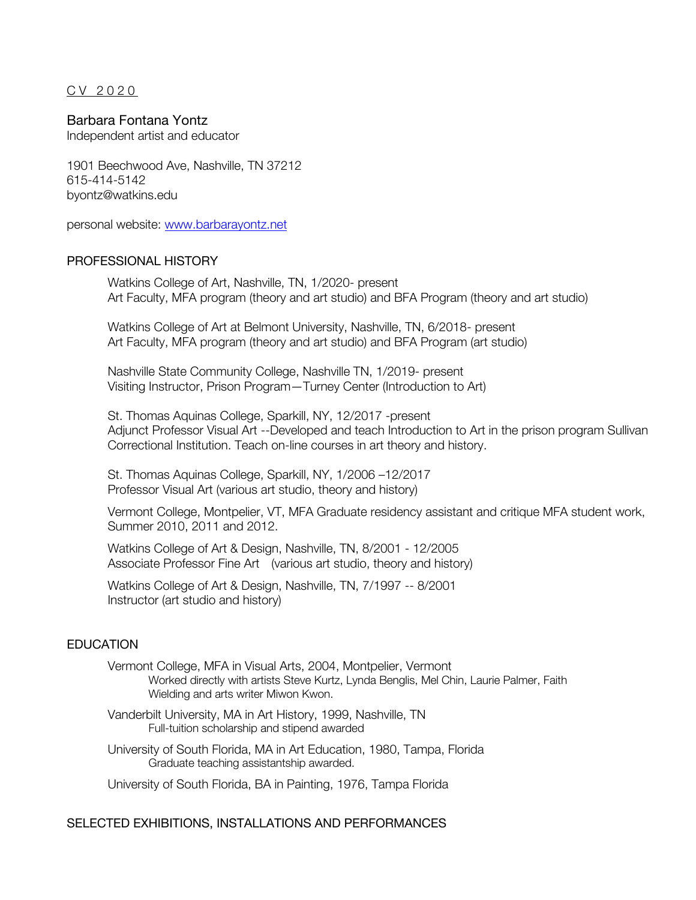CV 20 2 0

### Barbara Fontana Yontz

Independent artist and educator

1901 Beechwood Ave, Nashville, TN 37212 615-414-5142 byontz@watkins.edu

personal website: www.barbarayontz.net

#### PROFESSIONAL HISTORY

Watkins College of Art, Nashville, TN, 1/2020- present Art Faculty, MFA program (theory and art studio) and BFA Program (theory and art studio)

Watkins College of Art at Belmont University, Nashville, TN, 6/2018- present Art Faculty, MFA program (theory and art studio) and BFA Program (art studio)

Nashville State Community College, Nashville TN, 1/2019- present Visiting Instructor, Prison Program—Turney Center (Introduction to Art)

St. Thomas Aquinas College, Sparkill, NY, 12/2017 -present Adjunct Professor Visual Art --Developed and teach Introduction to Art in the prison program Sullivan Correctional Institution. Teach on-line courses in art theory and history.

St. Thomas Aquinas College, Sparkill, NY, 1/2006 –12/2017 Professor Visual Art (various art studio, theory and history)

Vermont College, Montpelier, VT, MFA Graduate residency assistant and critique MFA student work, Summer 2010, 2011 and 2012.

Watkins College of Art & Design, Nashville, TN, 8/2001 - 12/2005 Associate Professor Fine Art (various art studio, theory and history)

Watkins College of Art & Design, Nashville, TN, 7/1997 -- 8/2001 Instructor (art studio and history)

# **EDUCATION**

Vermont College, MFA in Visual Arts, 2004, Montpelier, Vermont Worked directly with artists Steve Kurtz, Lynda Benglis, Mel Chin, Laurie Palmer, Faith Wielding and arts writer Miwon Kwon.

- Vanderbilt University, MA in Art History, 1999, Nashville, TN Full-tuition scholarship and stipend awarded
- University of South Florida, MA in Art Education, 1980, Tampa, Florida Graduate teaching assistantship awarded.

University of South Florida, BA in Painting, 1976, Tampa Florida

#### SELECTED EXHIBITIONS, INSTALLATIONS AND PERFORMANCES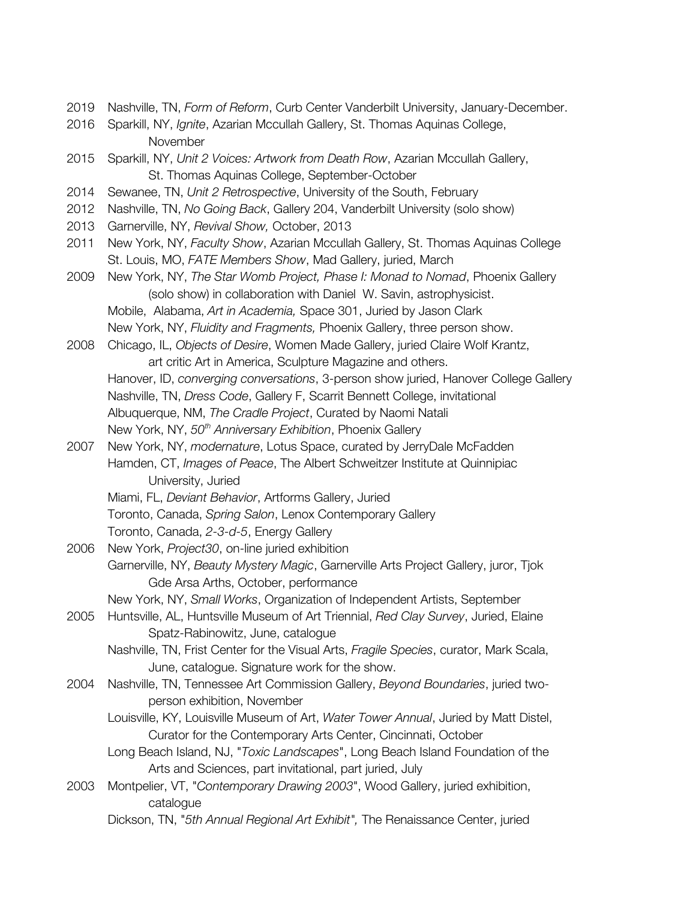- 2019 Nashville, TN, *Form of Reform*, Curb Center Vanderbilt University, January-December.
- 2016 Sparkill, NY, *Ignite*, Azarian Mccullah Gallery, St. Thomas Aquinas College, November
- 2015 Sparkill, NY, *Unit 2 Voices: Artwork from Death Row*, Azarian Mccullah Gallery, St. Thomas Aquinas College, September-October
- 2014 Sewanee, TN, *Unit 2 Retrospective*, University of the South, February
- 2012 Nashville, TN, *No Going Back*, Gallery 204, Vanderbilt University (solo show)
- 2013 Garnerville, NY, *Revival Show,* October, 2013
- 2011 New York, NY, *Faculty Show*, Azarian Mccullah Gallery, St. Thomas Aquinas College St. Louis, MO, *FATE Members Show*, Mad Gallery, juried, March
- 2009 New York, NY, *The Star Womb Project, Phase I: Monad to Nomad*, Phoenix Gallery (solo show) in collaboration with Daniel W. Savin, astrophysicist. Mobile, Alabama, *Art in Academia,* Space 301, Juried by Jason Clark New York, NY, *Fluidity and Fragments,* Phoenix Gallery, three person show.
- 2008 Chicago, IL, *Objects of Desire*, Women Made Gallery, juried Claire Wolf Krantz, art critic Art in America, Sculpture Magazine and others. Hanover, ID, *converging conversations*, 3-person show juried, Hanover College Gallery Nashville, TN, *Dress Code*, Gallery F, Scarrit Bennett College, invitational
	- Albuquerque, NM, *The Cradle Project*, Curated by Naomi Natali
	- New York, NY, *50th Anniversary Exhibition*, Phoenix Gallery
- 2007 New York, NY, *modernature*, Lotus Space, curated by JerryDale McFadden Hamden, CT, *Images of Peace*, The Albert Schweitzer Institute at Quinnipiac University, Juried
	- Miami, FL, *Deviant Behavior*, Artforms Gallery, Juried
	- Toronto, Canada, *Spring Salon*, Lenox Contemporary Gallery
	- Toronto, Canada, *2-3-d-5*, Energy Gallery
- 2006 New York, *Project30*, on-line juried exhibition Garnerville, NY, *Beauty Mystery Magic*, Garnerville Arts Project Gallery, juror, Tjok Gde Arsa Arths, October, performance
	- New York, NY, *Small Works*, Organization of Independent Artists, September
- 2005 Huntsville, AL, Huntsville Museum of Art Triennial, *Red Clay Survey*, Juried, Elaine Spatz-Rabinowitz, June, catalogue
	- Nashville, TN, Frist Center for the Visual Arts, *Fragile Species*, curator, Mark Scala, June, catalogue. Signature work for the show.
- 2004 Nashville, TN, Tennessee Art Commission Gallery, *Beyond Boundaries*, juried twoperson exhibition, November
	- Louisville, KY, Louisville Museum of Art, *Water Tower Annual*, Juried by Matt Distel, Curator for the Contemporary Arts Center, Cincinnati, October
	- Long Beach Island, NJ, "*Toxic Landscapes*", Long Beach Island Foundation of the Arts and Sciences, part invitational, part juried, July
- 2003 Montpelier, VT, "*Contemporary Drawing 2003*", Wood Gallery, juried exhibition, catalogue
	- Dickson, TN, "*5th Annual Regional Art Exhibit",* The Renaissance Center, juried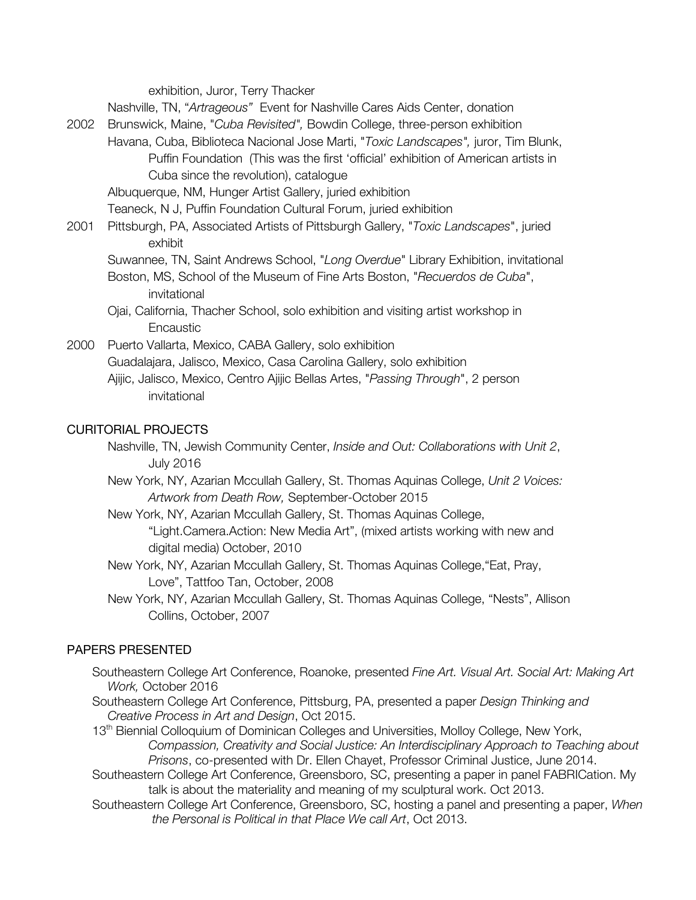exhibition, Juror, Terry Thacker

Nashville, TN, "*Artrageous"* Event for Nashville Cares Aids Center, donation

- 2002 Brunswick, Maine, "*Cuba Revisited",* Bowdin College, three-person exhibition
- Havana, Cuba, Biblioteca Nacional Jose Marti, "*Toxic Landscapes",* juror, Tim Blunk, Puffin Foundation (This was the first 'official' exhibition of American artists in Cuba since the revolution), catalogue

Albuquerque, NM, Hunger Artist Gallery, juried exhibition

Teaneck, N J, Puffin Foundation Cultural Forum, juried exhibition

- 2001 Pittsburgh, PA, Associated Artists of Pittsburgh Gallery, "*Toxic Landscapes*", juried exhibit
	- Suwannee, TN, Saint Andrews School, "*Long Overdue*" Library Exhibition, invitational Boston, MS, School of the Museum of Fine Arts Boston, "*Recuerdos de Cuba*", invitational
	- Ojai, California, Thacher School, solo exhibition and visiting artist workshop in **Encaustic**

2000 Puerto Vallarta, Mexico, CABA Gallery, solo exhibition Guadalajara, Jalisco, Mexico, Casa Carolina Gallery, solo exhibition Ajijic, Jalisco, Mexico, Centro Ajijic Bellas Artes, "*Passing Through*", 2 person

invitational

### CURITORIAL PROJECTS

Nashville, TN, Jewish Community Center, *Inside and Out: Collaborations with Unit 2*, July 2016

New York, NY, Azarian Mccullah Gallery, St. Thomas Aquinas College, *Unit 2 Voices: Artwork from Death Row,* September-October 2015

- New York, NY, Azarian Mccullah Gallery, St. Thomas Aquinas College, "Light.Camera.Action: New Media Art", (mixed artists working with new and digital media) October, 2010
- New York, NY, Azarian Mccullah Gallery, St. Thomas Aquinas College,"Eat, Pray, Love", Tattfoo Tan, October, 2008
- New York, NY, Azarian Mccullah Gallery, St. Thomas Aquinas College, "Nests", Allison Collins, October, 2007

# PAPERS PRESENTED

- Southeastern College Art Conference, Roanoke, presented *Fine Art. Visual Art. Social Art: Making Art Work,* October 2016
- Southeastern College Art Conference, Pittsburg, PA, presented a paper *Design Thinking and Creative Process in Art and Design*, Oct 2015.

13<sup>th</sup> Biennial Colloquium of Dominican Colleges and Universities, Molloy College, New York, *Compassion, Creativity and Social Justice: An Interdisciplinary Approach to Teaching about Prisons*, co-presented with Dr. Ellen Chayet, Professor Criminal Justice, June 2014.

- Southeastern College Art Conference, Greensboro, SC, presenting a paper in panel FABRICation. My talk is about the materiality and meaning of my sculptural work. Oct 2013.
- Southeastern College Art Conference, Greensboro, SC, hosting a panel and presenting a paper, *When the Personal is Political in that Place We call Art*, Oct 2013.